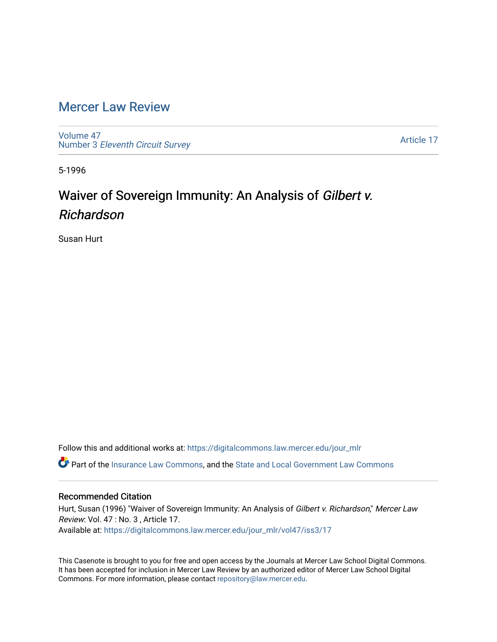## [Mercer Law Review](https://digitalcommons.law.mercer.edu/jour_mlr)

[Volume 47](https://digitalcommons.law.mercer.edu/jour_mlr/vol47) Number 3 [Eleventh Circuit Survey](https://digitalcommons.law.mercer.edu/jour_mlr/vol47/iss3) 

[Article 17](https://digitalcommons.law.mercer.edu/jour_mlr/vol47/iss3/17) 

5-1996

## Waiver of Sovereign Immunity: An Analysis of Gilbert v. Richardson

Susan Hurt

Follow this and additional works at: [https://digitalcommons.law.mercer.edu/jour\\_mlr](https://digitalcommons.law.mercer.edu/jour_mlr?utm_source=digitalcommons.law.mercer.edu%2Fjour_mlr%2Fvol47%2Fiss3%2F17&utm_medium=PDF&utm_campaign=PDFCoverPages)

Part of the [Insurance Law Commons](http://network.bepress.com/hgg/discipline/607?utm_source=digitalcommons.law.mercer.edu%2Fjour_mlr%2Fvol47%2Fiss3%2F17&utm_medium=PDF&utm_campaign=PDFCoverPages), and the [State and Local Government Law Commons](http://network.bepress.com/hgg/discipline/879?utm_source=digitalcommons.law.mercer.edu%2Fjour_mlr%2Fvol47%2Fiss3%2F17&utm_medium=PDF&utm_campaign=PDFCoverPages)

## Recommended Citation

Hurt, Susan (1996) "Waiver of Sovereign Immunity: An Analysis of Gilbert v. Richardson," Mercer Law Review: Vol. 47 : No. 3 , Article 17. Available at: [https://digitalcommons.law.mercer.edu/jour\\_mlr/vol47/iss3/17](https://digitalcommons.law.mercer.edu/jour_mlr/vol47/iss3/17?utm_source=digitalcommons.law.mercer.edu%2Fjour_mlr%2Fvol47%2Fiss3%2F17&utm_medium=PDF&utm_campaign=PDFCoverPages) 

This Casenote is brought to you for free and open access by the Journals at Mercer Law School Digital Commons. It has been accepted for inclusion in Mercer Law Review by an authorized editor of Mercer Law School Digital Commons. For more information, please contact [repository@law.mercer.edu.](mailto:repository@law.mercer.edu)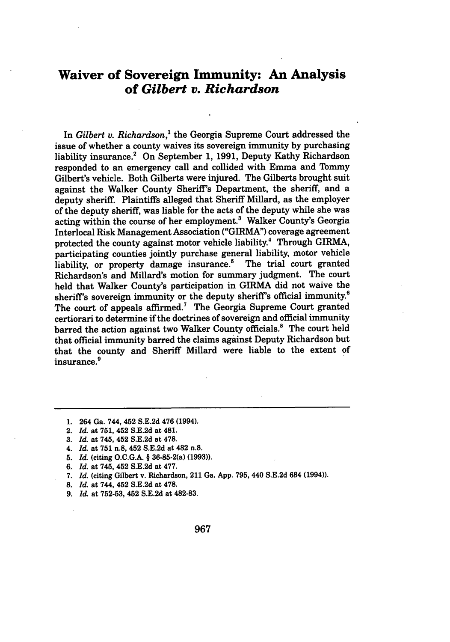## **Waiver of Sovereign Immunity: An Analysis of** *Gilbert v. Richardson*

In *Gilbert v. Richardson,'* the Georgia Supreme Court addressed the issue of whether a county waives its sovereign immunity **by** purchasing liability insurance.' On September **1, 1991,** Deputy Kathy Richardson responded to an emergency call and collided with Emma and Tommy Gilbert's vehicle. Both Gilberts were injured. The Gilberts brought suit against the Walker County Sheriff's Department, the sheriff, and a deputy sheriff. Plaintiffs alleged that Sheriff Millard, as the employer of the deputy sheriff, was liable for the acts of the deputy while she was acting within the course of her employment.<sup>3</sup> Walker County's Georgia Interlocal Risk Management Association ("GIRMA") coverage agreement protected the county against motor vehicle liability.<sup>4</sup> Through GIRMA, participating counties jointly purchase general liability, motor vehicle liability, or property damage insurance.<sup>5</sup> The trial court granted Richardson's and Millard's motion for summary judgment. The court held that Walker County's participation in GIRMA did not waive the sheriff's sovereign immunity or the deputy sheriff's official immunity.6 The court of appeals affirmed.<sup>7</sup> The Georgia Supreme Court granted certiorari to determine if the doctrines of sovereign and official immunity barred the action against two Walker County officials.<sup>8</sup> The court held that official immunity barred the claims against Deputy Richardson but that the county and Sheriff Millard were liable to the extent of insurance.<sup>9</sup>

- **1.** 264 Ga. 744, 452 **S.E.2d** 476 (1994).
- 2. *Id.* at 751, 452 **S.E.2d** at 481.
- **3.** *Id.* at 745, 452 **S.E.2d** at **478.**
- 4. *Id.* at **751** n.8, 452 **S.E.2d** at 482 n.8.
- **5.** *Id.* (citing **O.C.G.A.** § 36-85-2(a) **(1993)).**
- **6.** *Id.* at 745, 452 **S.E.2d** at **477.**
- **7.** *Id.* (citing Gilbert v. Richardson, 211 Ga. **App. 795,** 440 **S.E.2d** 684 (1994)).
- **8.** *Id.* at 744, 452 **S.E.2d** at **478.**
- **9.** *Id.* at **752-53,** 452 **S.E.2d** at **482-83.**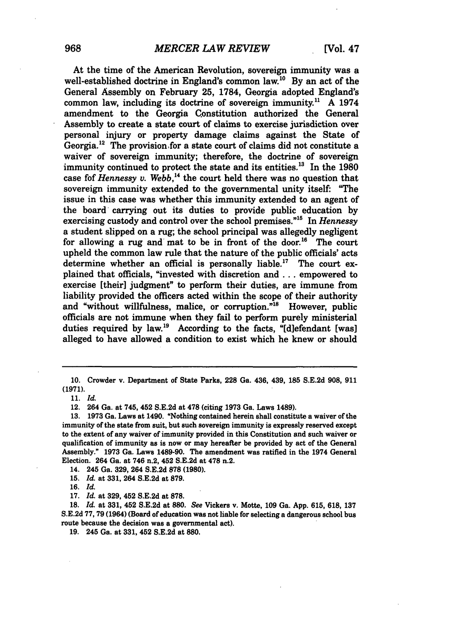At the time of the American Revolution, sovereign immunity was a well-established doctrine in England's common law.<sup>10</sup> By an act of the General Assembly on February **25,** 1784, Georgia adopted England's common law, including its doctrine of sovereign immunity." A 1974 amendment to the Georgia Constitution authorized the General Assembly to create a state court of claims to exercise jurisdiction over personal injury or property damage claims against the State of Georgia.<sup>12</sup> The provision for a state court of claims did not constitute a waiver of sovereign immunity; therefore, the doctrine of sovereign immunity continued to protect the state and its entities.<sup>13</sup> In the 1980 case fof *Hennessy v. Webb*,<sup>14</sup> the court held there was no question that sovereign immunity extended to the governmental unity itself: "The issue in this case was whether this immunity extended to an agent of the board' carrying out its duties to provide public education by exercising custody and control over the school premises.<sup>"15</sup> In *Hennessy* a student slipped on a rug; the school principal was allegedly negligent for allowing a rug and mat to be in front of the door.<sup>16</sup> The court upheld the common law rule that the nature of the public officials' acts determine whether an official is personally liable.<sup>17</sup> The court explained that officials, "invested with discretion and **...** empowered to exercise [their] judgment" to perform their duties, are immune from liability provided the officers acted within the scope of their authority and "without willfulness, malice, or corruption."<sup>18</sup> However, public officials are not immune when they fail to perform purely ministerial duties required by law.<sup>19</sup> According to the facts, "[d]efendant [was] alleged to have allowed a condition to exist which he knew or should

14. 245 Ga. **329,** 264 **S.E.2d 878 (1980).**

17. *Id.* at **329,** 452 S.E.2d at **878.**

18. *Id.* at **331,** 452 S.E.2d at **880.** *See* Vickers v. Motte, 109 Ga. App. **615,** 618, **137** S.E.2d 77, **79** (1964) (Board of education was not liable for selecting a dangerous school **bus** route because the decision was a governmental act).

**19.** 245 Ga. at **331,** 452 **S.E.2d** at **880.**

<sup>10.</sup> Crowder v. Department of State Parks, **228** Ga. 436, 439, **185** S.E.2d **908, 911 (1971).**

<sup>11.</sup> *Id.*

**<sup>12.</sup>** 264 Ga. at 745, 452 **S.E.2d** at **478** (citing **1973** Ga. Laws 1489).

**<sup>13. 1973</sup>** Ga. Laws at 1490. "Nothing contained herein shall constitute a waiver of the immunity of the state from suit, but such sovereign immunity is expressly reserved except to the extent of any waiver of immunity provided in this Constitution and such waiver or qualification of immunity as is now or may hereafter be provided **by** act of the General Assembly." **1973** Ga. Laws 1489-90. The amendment was ratified in the 1974 General Election. 264 Ga. at 746 n.2, 452 **S.E.2d** at **478** n.2.

**<sup>15.</sup>** *Id.* at **331,** 264 **S.E.2d** at **879.**

**<sup>16.</sup>** *Id.*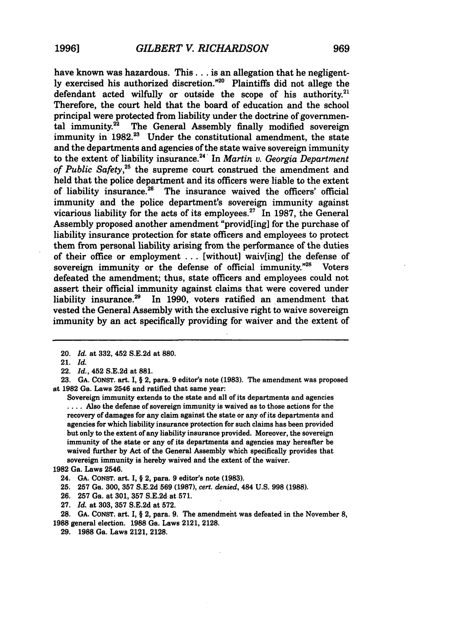have known was hazardous. **This...** is an allegation that he negligently exercised his authorized discretion."<sup>20</sup> Plaintiffs did not allege the defendant acted wilfully or outside the scope of his authority.<sup>21</sup> Therefore, the court held that the board of education and the school principal were protected from liability under the doctrine of governmental immunity.<sup>22</sup> The General Assembly finally modified sovereign immunity in 1982.<sup>23</sup> Under the constitutional amendment, the state and the departments and agencies of the state waive sovereign immunity to the extent of liability insurance.24 ' In *Martin v. Georgia Department of Public Safety,25* the supreme court construed the amendment and held that the police department and its officers were liable to the extent of liability insurance.<sup>26</sup> The insurance waived the officers' official immunity and the police department's sovereign immunity against vicarious liability for the acts of its employees.<sup>27</sup> In 1987, the General Assembly proposed another amendment "provid[ing] for the purchase of liability insurance protection for state officers and employees to protect them from personal liability arising from the performance of the duties of their office or employment ... [without] waiv[ing] the defense of sovereign immunity or the defense of official immunity."<sup>28</sup> Voters defeated the amendment; thus, state officers and employees could not assert their official immunity against claims that were covered under liability insurance.<sup>29</sup> In 1990, voters ratified an amendment that vested the General Assembly with the exclusive right to waive sovereign immunity by an act specifically providing for waiver and the extent of

Sovereign immunity extends to the state and all of its departments and agencies .... Also the defense of sovereign immunity is waived as to those actions for the recovery of damages for any claim against the state or any of its departments and agencies for which liability insurance protection for such claims has been provided but only to the extent of any liability insurance provided. Moreover, the sovereign immunity of the state or any of its departments and agencies may hereafter be waived further by Act of the General Assembly which specifically provides that sovereign immunity is hereby waived and the extent of the waiver.

**29. 1988** Ga. Laws 2121, 2128.

<sup>20.</sup> *Id.* at 332, 452 S.E.2d at **880.**

<sup>21.</sup> *Id.*

<sup>22.</sup> *Id.,* 452 S.E.2d at **881.**

**<sup>23.</sup> GA. CONST.** art. I, § 2, para. **9** editor's note **(1983).** The amendment was proposed at **1982** Ga. Laws 2546 and ratified that same year:

**<sup>1982</sup>** Ga. Laws 2546.

<sup>24.</sup> **GA.** CONsT. art. I, **§** 2, para. **9** editor's note **(1983).**

**<sup>25. 257</sup>** Ga. 300, 357 S.E.2d **569 (1987),** *cert. denied,* 484 **U.S. 998 (1988).**

**<sup>26. 257</sup>** Ga. at 301, **357** S.E.2d at 571.

**<sup>27.</sup>** *Id.* at 303, **357** S.E.2d at 572.

**<sup>28.</sup> GA.** CONST. art. I, § 2, para. **9.** The amendmeht was defeated in the November **8, 1988** general election. **1988 Ga.** Laws 2121, 2128.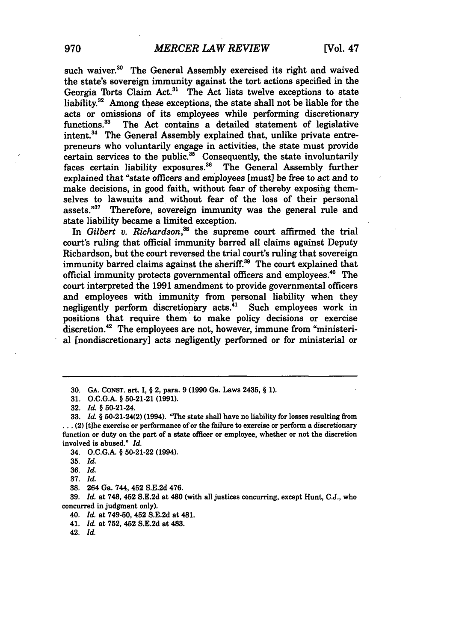such waiver.<sup>30</sup> The General Assembly exercised its right and waived the state's sovereign immunity against the tort actions specified in the Georgia Torts Claim Act.<sup>31</sup> The Act lists twelve exceptions to state liability.<sup>32</sup> Among these exceptions, the state shall not be liable for the acts or omissions of its employees while performing discretionary functions.<sup>33</sup> The Act contains a detailed statement of legislative The Act contains a detailed statement of legislative intent.<sup>34</sup> The General Assembly explained that, unlike private entrepreneurs who voluntarily engage in activities, the state must provide certain services to the public.<sup>35</sup> Consequently, the state involuntarily faces certain liability exposures.<sup>36</sup> The General Assembly further explained that "state officers and employees [must] be free to act and to make decisions, in good faith, without fear of thereby exposing themselves to lawsuits and without fear of the loss of their personal assets."37 Therefore, sovereign immunity was the general rule and state liability became a limited exception.

In *Gilbert v. Richardson*,<sup>38</sup> the supreme court affirmed the trial court's ruling that official immunity barred all claims against Deputy Richardson, but the court reversed the trial court's ruling that sovereign immunity barred claims against the sheriff.<sup>39</sup> The court explained that official immunity protects governmental officers and employees.40 The court interpreted the **1991** amendment to provide governmental officers and employees with immunity from personal liability when they negligently perform discretionary acts.<sup>41</sup> Such employees work in positions that require them to make policy decisions or exercise discretion.<sup>42</sup> The employees are not, however, immune from "ministerial [nondiscretionary] acts negligently performed or for ministerial or

34. **O.C.G.A.** § **50-21-22** (1994).

**38.** 264 Ga. 744, 452 **S.E.2d** 476.

**39.** *Id.* at **748,** 452 **S.E.2d** at 480 (with all justices concurring, except Hunt, **C.J.,** who concurred in judgment only).

40. *Id.* at **749-50,** 452 **S.E.2d** at 481.

**<sup>30.</sup> GA. CONST.** art. **I,** § 2, para. **9 (1990** Ga. Laws 2435, § **1).**

**<sup>31.</sup> O.C.G.A.** § **50-21-21 (1991).**

**<sup>32.</sup>** *Id.* § 50-21-24.

**<sup>33.</sup>** *Id.* § 50-21-24(2) (1994). **'The** state shall have no liability for losses resulting from **..** (2) [tjhe exercise or performance of or the failure to exercise or perform a discretionary function or duty on the part of a state officer or employee, whether or not the discretion involved is abused." *Id.*

**<sup>35.</sup>** *Id.*

**<sup>36.</sup>** *Id.*

**<sup>37.</sup>** *Id.*

<sup>41.</sup> *Id.* at **752,** 452 **S.E.2d** at 483.

<sup>42.</sup> *Id.*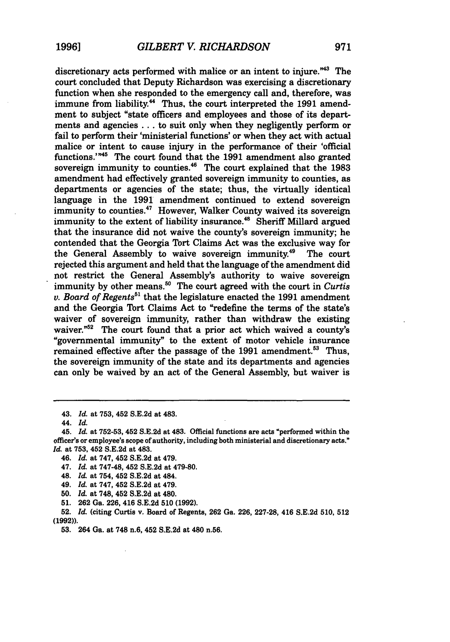discretionary acts performed with malice or an intent to injure."<sup>43</sup> The court concluded that Deputy Richardson was exercising a discretionary function when she responded to the emergency call and, therefore, was immune from liability.<sup>44</sup> Thus, the court interpreted the 1991 amendment to subject "state officers and employees and those of its departments and agencies **...** to suit only when they negligently perform or fail to perform their 'ministerial functions' or when they act with actual malice or intent to cause injury in the performance of their 'official functions."'45 The court found that the **1991** amendment also granted sovereign immunity to counties.<sup>46</sup> The court explained that the 1983 amendment had effectively granted sovereign immunity to counties, as departments or agencies of the state; thus, the virtually identical language in the **1991** amendment continued to extend sovereign immunity to counties.<sup>47</sup> However, Walker County waived its sovereign immunity to the extent of liability insurance.<sup>48</sup> Sheriff Millard argued that the insurance did not waive the county's sovereign immunity; he contended that the Georgia Tort Claims Act was the exclusive way for the General Assembly to waive sovereign immunity.<sup>49</sup> The court rejected this argument and held that the language of the amendment did not restrict the General Assembly's authority to waive sovereign immunity by other means.<sup>50</sup> The court agreed with the court in *Curtis v. Board of Regents51* that the legislature enacted the **1991** amendment and the Georgia Tort Claims Act to "redefine the terms of the state's waiver of sovereign immunity, rather than withdraw the existing waiver."<sup>52</sup> The court found that a prior act which waived a county's "governmental immunity" to the extent of motor vehicle insurance remained effective after the passage of the **1991** amendment. 53 Thus, the sovereign immunity of the state and its departments and agencies can only be waived **by** an act of the General Assembly, but waiver is

43. *Id.* at **753,** 452 **S.E.2d** at 483.

45. *Id* at **752-53,** 452 **S.E.2d** at 483. Official functions are acts "performed within the officer's or employee's scope of authority, including both ministerial and discretionary acts." *Id* at **753,** 452 **S.E.2d** at 483.

**52.** *1d.* (citing Curtis v. Board of Regents, **262** Ga. **226, 227-28,** 416 **S.E.2d 510, 512 (1992)).**

<sup>44.</sup> *Id.*

<sup>46.</sup> *Id.* at **747,** 452 **S.E.2d** at 479.

<sup>47.</sup> *Id.* at 747-48, 452 **S.E.2d** at **479-80.**

<sup>48.</sup> *Id.* at 754, 452 **S.E.2d** at 484.

<sup>49.</sup> *Id.* at **747,** 452 **S.E.2d** at 479.

**<sup>50.</sup>** *Id.* at **748,** 452 **S.E.2d** at 480.

**<sup>51. 262</sup> Ga. 226,** 416 **S.E.2d 510 (1992).**

**<sup>53.</sup>** 264 Ga. at **748** n.6, 452 **S.E.2d** at 480 n.56.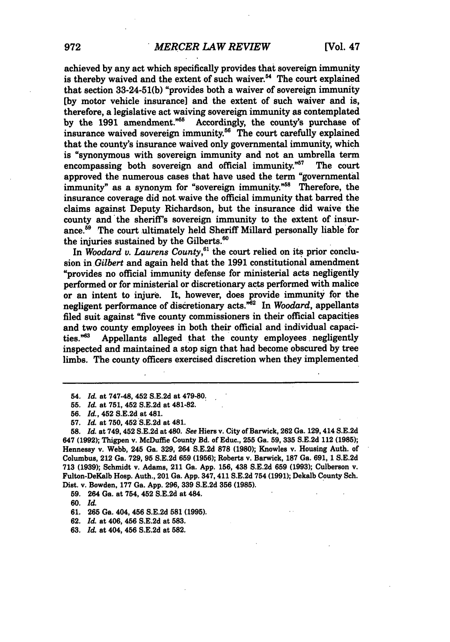achieved **by** any act which specifically provides that sovereign immunity is thereby waived and the extent of such waiver.<sup>54</sup> The court explained that section **33-24-51(b)** "provides both a waiver of sovereign immunity **[by** motor vehicle insurance] and the extent of such waiver and is, therefore, a legislative act waiving sovereign immunity as contemplated **by** the **1991** amendment."5 Accordingly, the county's purchase of insurance waived sovereign immunity.<sup>56</sup> The court carefully explained that the county's insurance waived only governmental immunity, which is "synonymous with sovereign immunity and not an umbrella term<br>encompassing both sovereign and official immunity."<sup>57</sup> The court encompassing both sovereign and official immunity. $^{57}$ approved the numerous cases that have used the term "governmental immunity" as a synonym for "sovereign immunity."<sup>58</sup> Therefore, the insurance coverage did not waive the official immunity that barred the claims against Deputy Richardson, but the insurance did waive the county and the sheriff's sovereign immunity to the extent of insurance.<sup>59</sup> The court ultimately held Sheriff Millard personally liable for the injuries sustained **by** the Gilberts.'

In *Woodard v. Laurens County*,<sup>61</sup> the court relied on its prior conclusion in *Gilbert* and again held that the **1991** constitutional amendment "provides no official immunity defense for ministerial acts negligently performed or for ministerial or discretionary acts performed with malice or an intent to injure. It, however, does provide immunity for the negligent performance of discretionary acts."62 In *Woodard,* appellants filed suit against "five county commissioners in their official capacities and two county employees in both their official and individual capacities.<sup> $m83$ </sup> Appellants alleged that the county employees negligently Appellants alleged that the county employees negligently inspected and maintained a stop sign that had become obscured **by** tree limbs. The county officers exercised discretion when they implemented

- **62.** *Id.* at 406, 456 **S.E.2d** at **583.**
- **63.** *Id.* at 404, 456 **S.E.2d** at **582.**

<sup>54.</sup> *Id.* at 747-48, 452 **S.E.2d** at **479-80.**

**<sup>55.</sup>** *Id.* **at 751,** 452 **S.E.2d** at **481-82.**

**<sup>56.</sup>** *Id.,* 452 **S.E.2d** at 481.

**<sup>57.</sup>** *Id.* **at 750, 452 S.E.2d** at 481.

**<sup>58.</sup>** *Id* **at** 749,452 **S.E.2d** at 480. *See* Hiers v. City of Barwick, **262** Ga. 129,414 **S.E.2d** 647 **(1992);** Thigpen v. McDuffle County Bd. of Educ., **255** Ga. **59, 335 S.E.2d** 112 **(1985);** Hennessy v. Webb, 245 Ga. **329,** 264 **S.E.2d 878 (1980);** Knowles v. Housing Auth. of Columbus, 212 Ga. **729, 95 S.E.2d 659 (1956);** Roberts v. Barwick, **187** Ga. **691, 1 S.E.2d 713 (1939);** Schmidt v. Adams, 211 **Ga. App. 156,** 438 **S.E.2d 659 (1993);** Culberson v. Fulton-DeKalb Hosp. Auth., 201 Ga. **App.** 347,411 **S.E.2d** 754 **(1991);** Dekalb County Sch. **Dist.** v. Bowden, **177** Ga. **App. 296, 339 S.E.2d 356 (1985).**

**<sup>59.</sup>** 264 Ga. at 754, 452 **S.E.2d** at 484.

**<sup>60.</sup>** *Id.*

**<sup>61. 265</sup>** Ga. 404, 456 **S.E.2d 581 (1995).**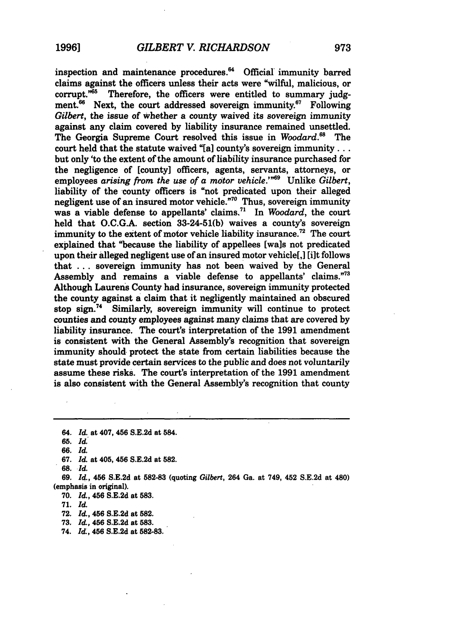inspection and maintenance procedures.<sup>64</sup> Official immunity barred claims against the officers unless their acts were "wilful, malicious, or corrupt.<sup>765</sup> Therefore, the officers were entitled to summary judgment.<sup>66</sup> Next, the court addressed sovereign immunity.<sup>67</sup> Following *Gilbert,* the issue of whether a county waived its sovereign immunity against any claim covered **by** liability insurance remained unsettled. The Georgia Supreme Court resolved this issue in *Woodard."* The court held that the statute waived **"[a]** county's sovereign immunity... but only 'to the extent of the amount of liability insurance purchased for the negligence of [county] officers, agents, servants, attorneys, or employees arising *from the use of a motor vehicle.' 69* Unlike *Gilbert,* liability of the county officers is "not predicated upon their alleged negligent use of an insured motor vehicle."70 Thus, sovereign immunity was a viable defense to appellants' claims.71 In *Woodard,* the court held that **O.C.G.A.** section **33-24-51(b)** waives a county's sovereign immunity to the extent of motor vehicle liability insurance.<sup>72</sup> The court explained that "because the liability of appellees [wals not predicated upon their alleged negligent use of an insured motor vehicle[,] **[lit** follows that **...** sovereign immunity has not been waived **by** the General Assembly and remains a viable defense to appellants' claims."<sup>73</sup> Although Laurens County had insurance, sovereign immunity protected the county against a claim that it negligently maintained an obscured stop sign.<sup>74</sup> Similarly, sovereign immunity will continue to protect counties and county employees against many claims that are covered **by** liability insurance. The court's interpretation of the **1991** amendment is consistent with the General Assembly's recognition that sovereign immunity should protect the state from certain liabilities because the state must provide certain services to the public and does not voluntarily assume these risks. The court's interpretation of the **1991** amendment is also consistent with the General Assembly's recognition that county

64. *Id.* at 407, 456 **S.E.2d** at 584.

*65. Id.*

**66.** *Id.*

**67.** *I&* at 405, 456 **S.E.2d** at **582.**

**68.** *Id.*

**69.** *Id.,* **456 S.E.2d** at **582-83** (quoting *Gilbert,* 264 Ga. at 749, 452 **S.E.2d** at 480) (emphasis in original).

**70.** *Id.,* 456 **S.E.2d** at **583.**

**71.** *Id.*

**72.** *Id.,* 456 **S.E.2d** at **582.**

**73.** *Id.,* 456 **S.E.2d** at **583.**

74. *Id.,* 456 **S.E.2d** at **582-83.**